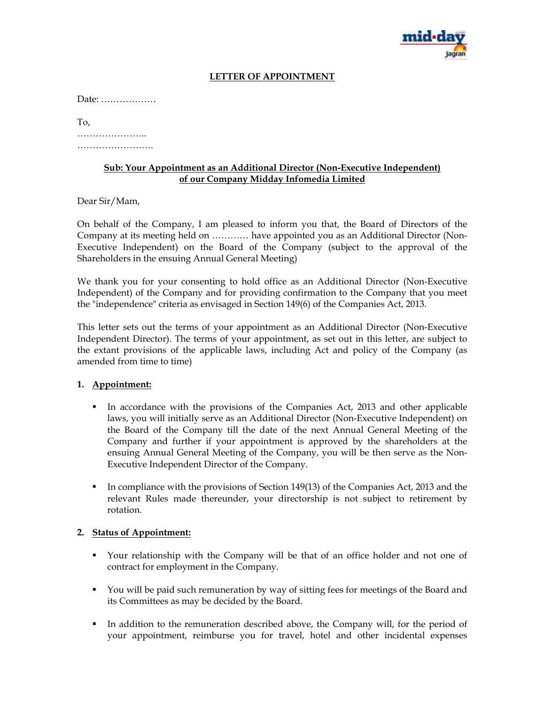

## **LETTER OF APPOINTMENT**

Date: ………………

To,

…………………..

……………………………

#### **Sub: Your Appointment as an Additional Director (Non-Executive Independent) of our Company Midday Infomedia Limited**

Dear Sir/Mam,

On behalf of the Company, I am pleased to inform you that, the Board of Directors of the Company at its meeting held on ………… have appointed you as an Additional Director (Non-Executive Independent) on the Board of the Company (subject to the approval of the Shareholders in the ensuing Annual General Meeting)

We thank you for your consenting to hold office as an Additional Director (Non-Executive Independent) of the Company and for providing confirmation to the Company that you meet the "independence" criteria as envisaged in Section 149(6) of the Companies Act, 2013.

This letter sets out the terms of your appointment as an Additional Director (Non-Executive Independent Director). The terms of your appointment, as set out in this letter, are subject to the extant provisions of the applicable laws, including Act and policy of the Company (as amended from time to time)

### **1. Appointment:**

- In accordance with the provisions of the Companies Act, 2013 and other applicable laws, you will initially serve as an Additional Director (Non-Executive Independent) on the Board of the Company till the date of the next Annual General Meeting of the Company and further if your appointment is approved by the shareholders at the ensuing Annual General Meeting of the Company, you will be then serve as the Non-Executive Independent Director of the Company.
- In compliance with the provisions of Section 149(13) of the Companies Act, 2013 and the relevant Rules made thereunder, your directorship is not subject to retirement by rotation.

### **2. Status of Appointment:**

- Your relationship with the Company will be that of an office holder and not one of contract for employment in the Company.
- You will be paid such remuneration by way of sitting fees for meetings of the Board and its Committees as may be decided by the Board.
- In addition to the remuneration described above, the Company will, for the period of your appointment, reimburse you for travel, hotel and other incidental expenses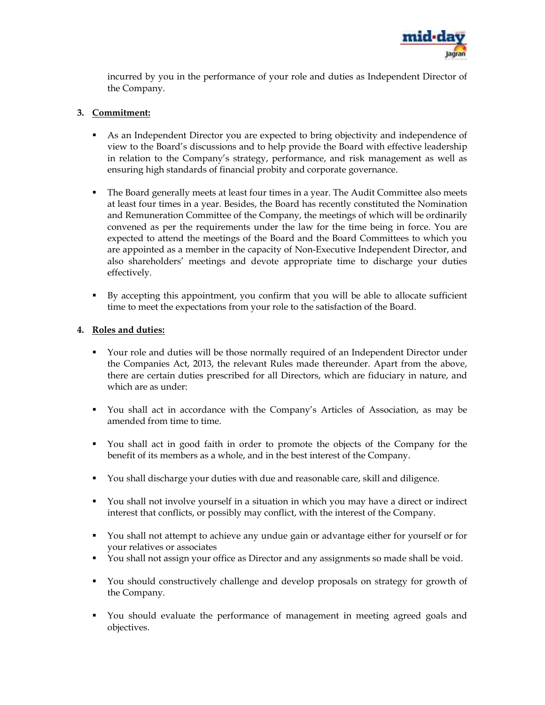

incurred by you in the performance of your role and duties as Independent Director of the Company.

## **3. Commitment:**

- As an Independent Director you are expected to bring objectivity and independence of view to the Board's discussions and to help provide the Board with effective leadership in relation to the Company's strategy, performance, and risk management as well as ensuring high standards of financial probity and corporate governance.
- The Board generally meets at least four times in a year. The Audit Committee also meets at least four times in a year. Besides, the Board has recently constituted the Nomination and Remuneration Committee of the Company, the meetings of which will be ordinarily convened as per the requirements under the law for the time being in force. You are expected to attend the meetings of the Board and the Board Committees to which you are appointed as a member in the capacity of Non-Executive Independent Director, and also shareholders' meetings and devote appropriate time to discharge your duties effectively.
- By accepting this appointment, you confirm that you will be able to allocate sufficient time to meet the expectations from your role to the satisfaction of the Board.

### **4. Roles and duties:**

- Your role and duties will be those normally required of an Independent Director under the Companies Act, 2013, the relevant Rules made thereunder. Apart from the above, there are certain duties prescribed for all Directors, which are fiduciary in nature, and which are as under:
- You shall act in accordance with the Company's Articles of Association, as may be amended from time to time.
- You shall act in good faith in order to promote the objects of the Company for the benefit of its members as a whole, and in the best interest of the Company.
- You shall discharge your duties with due and reasonable care, skill and diligence.
- You shall not involve yourself in a situation in which you may have a direct or indirect interest that conflicts, or possibly may conflict, with the interest of the Company.
- You shall not attempt to achieve any undue gain or advantage either for yourself or for your relatives or associates
- You shall not assign your office as Director and any assignments so made shall be void.
- You should constructively challenge and develop proposals on strategy for growth of the Company.
- You should evaluate the performance of management in meeting agreed goals and objectives.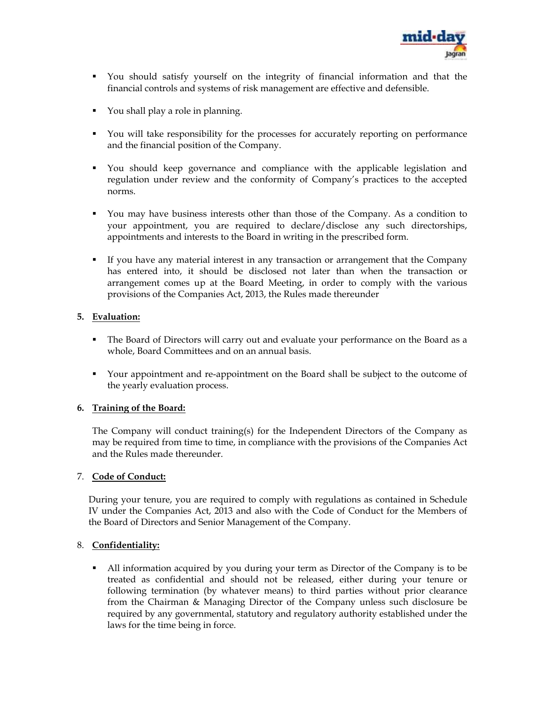

- You should satisfy yourself on the integrity of financial information and that the financial controls and systems of risk management are effective and defensible.
- You shall play a role in planning.
- You will take responsibility for the processes for accurately reporting on performance and the financial position of the Company.
- You should keep governance and compliance with the applicable legislation and regulation under review and the conformity of Company's practices to the accepted norms.
- You may have business interests other than those of the Company. As a condition to your appointment, you are required to declare/disclose any such directorships, appointments and interests to the Board in writing in the prescribed form.
- If you have any material interest in any transaction or arrangement that the Company has entered into, it should be disclosed not later than when the transaction or arrangement comes up at the Board Meeting, in order to comply with the various provisions of the Companies Act, 2013, the Rules made thereunder

## **5. Evaluation:**

- The Board of Directors will carry out and evaluate your performance on the Board as a whole, Board Committees and on an annual basis.
- Your appointment and re-appointment on the Board shall be subject to the outcome of the yearly evaluation process.

# **6. Training of the Board:**

The Company will conduct training(s) for the Independent Directors of the Company as may be required from time to time, in compliance with the provisions of the Companies Act and the Rules made thereunder.

### 7. **Code of Conduct:**

During your tenure, you are required to comply with regulations as contained in Schedule IV under the Companies Act, 2013 and also with the Code of Conduct for the Members of the Board of Directors and Senior Management of the Company.

### 8. **Confidentiality:**

 All information acquired by you during your term as Director of the Company is to be treated as confidential and should not be released, either during your tenure or following termination (by whatever means) to third parties without prior clearance from the Chairman & Managing Director of the Company unless such disclosure be required by any governmental, statutory and regulatory authority established under the laws for the time being in force.